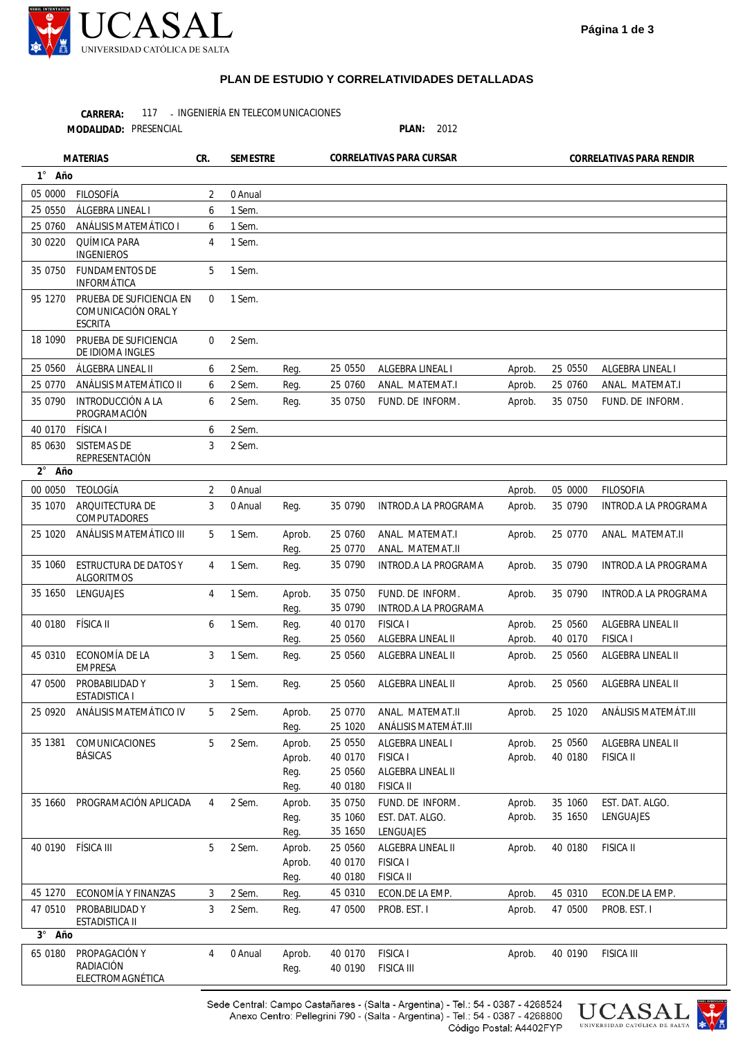

## **PLAN DE ESTUDIO Y CORRELATIVIDADES DETALLADAS**

117 - INGENIERÍA EN TELECOMUNICACIONES **CARRERA:**

**MODALIDAD:**

PLAN: 2012

| <b>MATERIAS</b>    |                                                                   | CR.            | <b>SEMESTRE</b> |                                  | CORRELATIVAS PARA CURSAR                 |                                                                              | CORRELATIVAS PARA RENDIR |                    |                                       |
|--------------------|-------------------------------------------------------------------|----------------|-----------------|----------------------------------|------------------------------------------|------------------------------------------------------------------------------|--------------------------|--------------------|---------------------------------------|
| 1° Año             |                                                                   |                |                 |                                  |                                          |                                                                              |                          |                    |                                       |
| 05 0000            | <b>FILOSOFÍA</b>                                                  | 2              | 0 Anual         |                                  |                                          |                                                                              |                          |                    |                                       |
| 25 0550            | ÁLGEBRA LINEAL I                                                  | 6              | 1 Sem.          |                                  |                                          |                                                                              |                          |                    |                                       |
| 25 0760            | ANÁLISIS MATEMÁTICO I                                             | 6              | 1 Sem.          |                                  |                                          |                                                                              |                          |                    |                                       |
| 30 0220            | QUÍMICA PARA<br><b>INGENIEROS</b>                                 | 4              | 1 Sem.          |                                  |                                          |                                                                              |                          |                    |                                       |
| 35 0750            | <b>FUNDAMENTOS DE</b><br>INFORMÁTICA                              | 5              | 1 Sem.          |                                  |                                          |                                                                              |                          |                    |                                       |
| 95 1270            | PRUEBA DE SUFICIENCIA EN<br>COMUNICACIÓN ORAL Y<br><b>ESCRITA</b> | $\mathbf 0$    | 1 Sem.          |                                  |                                          |                                                                              |                          |                    |                                       |
| 18 1090            | PRUEBA DE SUFICIENCIA<br>DE IDIOMA INGLES                         | 0              | 2 Sem.          |                                  |                                          |                                                                              |                          |                    |                                       |
| 25 0560            | ÁLGEBRA LINEAL II                                                 | 6              | 2 Sem.          | Reg.                             | 25 0550                                  | ALGEBRA LINEAL I                                                             | Aprob.                   | 25 0550            | ALGEBRA LINEAL I                      |
| 25 0770            | ANÁLISIS MATEMÁTICO II                                            | 6              | 2 Sem.          | Reg.                             | 25 0760                                  | ANAL. MATEMAT.I                                                              | Aprob.                   | 25 0760            | ANAL. MATEMAT.I                       |
| 35 0790            | INTRODUCCIÓN A LA<br>PROGRAMACIÓN                                 | 6              | 2 Sem.          | Reg.                             | 35 0750                                  | FUND. DE INFORM.                                                             | Aprob.                   | 35 0750            | FUND. DE INFORM.                      |
| 40 0170            | <b>FÍSICA I</b>                                                   | 6              | 2 Sem.          |                                  |                                          |                                                                              |                          |                    |                                       |
| 85 0630            | <b>SISTEMAS DE</b><br>REPRESENTACIÓN                              | 3              | 2 Sem.          |                                  |                                          |                                                                              |                          |                    |                                       |
| $2^{\circ}$<br>Año |                                                                   |                |                 |                                  |                                          |                                                                              |                          |                    |                                       |
| 00 0050            | <b>TEOLOGÍA</b>                                                   | $\overline{2}$ | 0 Anual         |                                  |                                          |                                                                              | Aprob.                   | 05 0000            | <b>FILOSOFIA</b>                      |
| 35 1070            | ARQUITECTURA DE<br>COMPUTADORES                                   | 3              | 0 Anual         | Reg.                             | 35 0790                                  | INTROD. A LA PROGRAMA                                                        | Aprob.                   | 35 0790            | INTROD.A LA PROGRAMA                  |
| 25 1020            | ANÁLISIS MATEMÁTICO III                                           | 5              | 1 Sem.          | Aprob.<br>Reg.                   | 25 0760<br>25 0770                       | ANAL. MATEMAT.I<br>ANAL. MATEMAT.II                                          | Aprob.                   | 25 0770            | ANAL. MATEMAT.II                      |
| 35 1060            | ESTRUCTURA DE DATOS Y<br><b>ALGORITMOS</b>                        | 4              | 1 Sem.          | Reg.                             | 35 0790                                  | INTROD. A LA PROGRAMA                                                        | Aprob.                   | 35 0790            | INTROD.A LA PROGRAMA                  |
| 35 1650            | LENGUAJES                                                         | 4              | 1 Sem.          | Aprob.<br>Req.                   | 35 0750<br>35 0790                       | FUND. DE INFORM.<br>INTROD. A LA PROGRAMA                                    | Aprob.                   | 35 0790            | INTROD.A LA PROGRAMA                  |
| 40 0180            | FÍSICA II                                                         | 6              | 1 Sem.          | Req.<br>Reg.                     | 40 0170<br>25 0560                       | <b>FISICA1</b><br>ALGEBRA LINEAL II                                          | Aprob.<br>Aprob.         | 25 0560<br>40 0170 | ALGEBRA LINEAL II<br><b>FISICA I</b>  |
| 45 0310            | ECONOMÍA DE LA<br><b>EMPRESA</b>                                  | 3              | 1 Sem.          | Reg.                             | 25 0560                                  | ALGEBRA LINEAL II                                                            | Aprob.                   | 25 0560            | ALGEBRA LINEAL II                     |
| 47 0500            | PROBABILIDAD Y<br><b>ESTADISTICA I</b>                            | 3              | 1 Sem.          | Reg.                             | 25 0560                                  | ALGEBRA LINEAL II                                                            | Aprob.                   | 25 0560            | ALGEBRA LINEAL II                     |
| 25 09 20           | ANÁLISIS MATEMÁTICO IV                                            | 5              | 2 Sem.          | Aprob.<br>Reg.                   | 25 0770<br>25 1020                       | ANAL. MATEMAT.II<br>ANÁLISIS MATEMÁT.III                                     | Aprob.                   | 25 1020            | ANÁLISIS MATEMÁT.III                  |
| 35 1381            | COMUNICACIONES<br><b>BÁSICAS</b>                                  | 5              | 2 Sem.          | Aprob.<br>Aprob.<br>Reg.<br>Reg. | 25 0550<br>40 0170<br>25 0560<br>40 0180 | ALGEBRA LINEAL I<br><b>FISICA I</b><br>ALGEBRA LINEAL II<br><b>FISICA II</b> | Aprob.<br>Aprob.         | 25 0560<br>40 0180 | ALGEBRA LINEAL II<br><b>FISICA II</b> |
| 35 1660            | PROGRAMACIÓN APLICADA                                             | 4              | 2 Sem.          | Aprob.<br>Reg.<br>Reg.           | 35 0750<br>35 1060<br>35 1650            | FUND. DE INFORM.<br>EST. DAT. ALGO.<br>LENGUAJES                             | Aprob.<br>Aprob.         | 35 1060<br>35 1650 | EST. DAT. ALGO.<br>LENGUAJES          |
| 40 0190            | FÍSICA III                                                        | 5              | 2 Sem.          | Aprob.<br>Aprob.<br>Reg.         | 25 0560<br>40 0170<br>40 0180            | ALGEBRA LINEAL II<br><b>FISICA I</b><br><b>FISICA II</b>                     | Aprob.                   | 40 0180            | <b>FISICA II</b>                      |
| 45 1270            | ECONOMÍA Y FINANZAS                                               | 3              | 2 Sem.          | Reg.                             | 45 0310                                  | ECON.DE LA EMP.                                                              | Aprob.                   | 45 0310            | ECON.DE LA EMP.                       |
| 47 0510            | PROBABILIDAD Y<br>ESTADISTICA II                                  | 3              | 2 Sem.          | Reg.                             | 47 0500                                  | PROB. EST. I                                                                 | Aprob.                   | 47 0500            | PROB. EST. I                          |
| 3° Año             |                                                                   |                |                 |                                  |                                          |                                                                              |                          |                    |                                       |
| 65 0180            | PROPAGACIÓN Y<br>RADIACIÓN<br>ELECTROMAGNÉTICA                    | 4              | 0 Anual         | Aprob.<br>Reg.                   | 40 0170<br>40 0190                       | <b>FISICA I</b><br><b>FISICA III</b>                                         | Aprob.                   | 40 0190            | <b>FISICA III</b>                     |



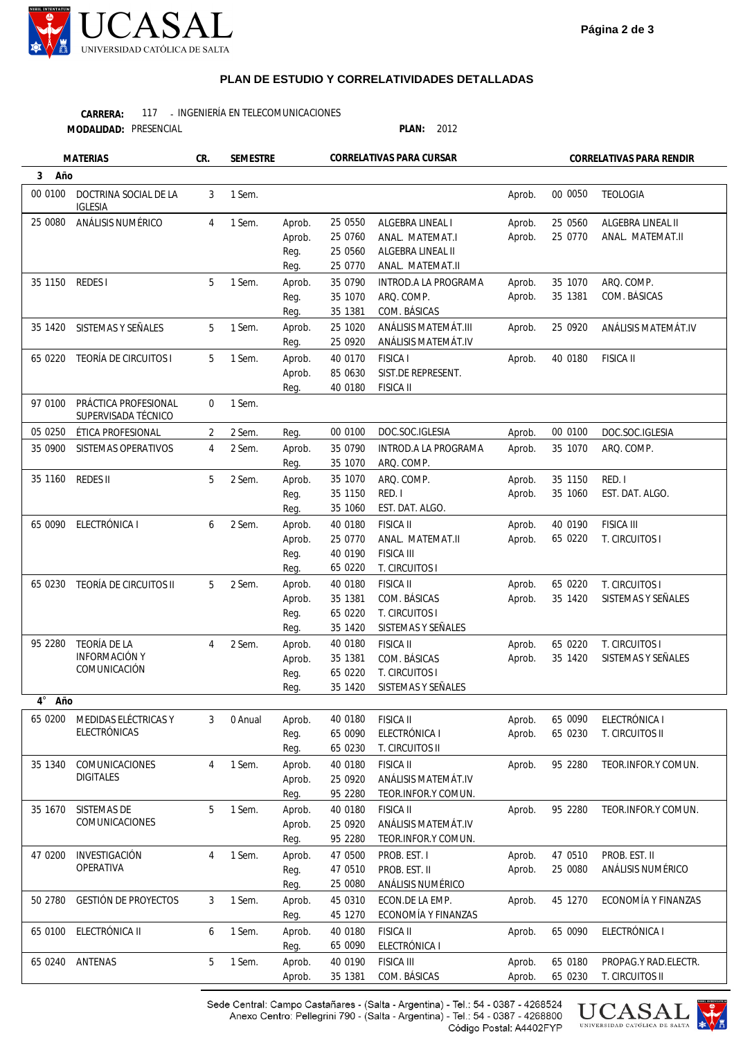

## **PLAN DE ESTUDIO Y CORRELATIVIDADES DETALLADAS**

117 - INGENIERÍA EN TELECOMUNICACIONES **CARRERA:**

**MODALIDAD:**

PLAN: 2012

| <b>MATERIAS</b> |                                             | CR.         | CORRELATIVAS PARA CURSAR<br>SEMESTRE |                  |                     | CORRELATIVAS PARA RENDIR                    |                  |                    |                      |
|-----------------|---------------------------------------------|-------------|--------------------------------------|------------------|---------------------|---------------------------------------------|------------------|--------------------|----------------------|
| 3<br>Año        |                                             |             |                                      |                  |                     |                                             |                  |                    |                      |
| 00 0100         | DOCTRINA SOCIAL DE LA<br><b>IGLESIA</b>     | 3           | 1 Sem.                               |                  |                     |                                             | Aprob.           | 00 0050            | <b>TEOLOGIA</b>      |
| 25 0080         | ANÁLISIS NUMÉRICO                           | 4           | 1 Sem.                               | Aprob.           | 25 0550             | ALGEBRA LINEAL I                            | Aprob.           | 25 0560            | ALGEBRA LINEAL II    |
|                 |                                             |             |                                      | Aprob.           | 25 0760             | ANAL. MATEMAT.I                             | Aprob.           | 25 0770            | ANAL. MATEMAT.II     |
|                 |                                             |             |                                      | Reg.             | 25 0560             | ALGEBRA LINEAL II                           |                  |                    |                      |
|                 |                                             |             |                                      | Reg.             | 25 0770             | ANAL. MATEMAT.II                            |                  |                    |                      |
| 35 1150         | REDES I                                     | 5           | 1 Sem.                               | Aprob.           | 35 0790             | INTROD. A LA PROGRAMA                       | Aprob.           | 35 1070            | ARQ. COMP.           |
|                 |                                             |             |                                      | Reg.             | 35 1070             | ARQ. COMP.                                  | Aprob.           | 35 1381            | COM. BÁSICAS         |
|                 |                                             |             |                                      | Reg.             | 35 1381             | COM. BÁSICAS                                |                  |                    |                      |
| 35 1420         | SISTEMAS Y SEÑALES                          | 5           | 1 Sem.                               | Aprob.<br>Reg.   | 25 1020<br>25 09 20 | ANÁLISIS MATEMÁT.III<br>ANÁLISIS MATEMÁT.IV | Aprob.           | 25 0920            | ANÁLISIS MATEMÁT.IV  |
| 65 0220         | TEORÍA DE CIRCUITOS I                       | 5           | 1 Sem.                               | Aprob.           | 40 0170             | <b>FISICA I</b>                             | Aprob.           | 40 0180            | <b>FISICA II</b>     |
|                 |                                             |             |                                      | Aprob.           | 85 0630             | SIST.DE REPRESENT.                          |                  |                    |                      |
|                 |                                             |             |                                      | Reg.             | 40 0180             | <b>FISICA II</b>                            |                  |                    |                      |
| 97 0100         | PRÁCTICA PROFESIONAL<br>SUPERVISADA TÉCNICO | $\mathbf 0$ | 1 Sem.                               |                  |                     |                                             |                  |                    |                      |
| 05 0250         | ÉTICA PROFESIONAL                           | 2           | 2 Sem.                               | Reg.             | 00 0100             | DOC.SOC.IGLESIA                             | Aprob.           | 00 0100            | DOC.SOC.IGLESIA      |
| 35 0900         | SISTEMAS OPERATIVOS                         | 4           | 2 Sem.                               | Aprob.           | 35 0790             | INTROD.A LA PROGRAMA                        | Aprob.           | 35 1070            | ARQ. COMP.           |
|                 |                                             |             |                                      | Reg.             | 35 1070             | ARQ. COMP.                                  |                  |                    |                      |
| 35 1160         | REDES II                                    | 5           | 2 Sem.                               | Aprob.           | 35 1070             | ARQ. COMP.                                  | Aprob.           | 35 1150            | RED. I               |
|                 |                                             |             |                                      | Reg.             | 35 1150             | RED. I                                      | Aprob.           | 35 1060            | EST. DAT. ALGO.      |
|                 |                                             |             |                                      | Reg.             | 35 1060             | EST. DAT. ALGO.                             |                  |                    |                      |
| 65 0090         | ELECTRÓNICA I                               | 6           | 2 Sem.                               | Aprob.           | 40 0180             | <b>FISICA II</b>                            | Aprob.           | 40 0190            | <b>FISICA III</b>    |
|                 |                                             |             |                                      | Aprob.           | 25 0770             | ANAL. MATEMAT.II                            | Aprob.           | 65 0220            | T. CIRCUITOS I       |
|                 |                                             |             |                                      | Reg.             | 40 0190             | <b>FISICA III</b>                           |                  |                    |                      |
|                 |                                             |             |                                      | Reg.             | 65 0220             | T. CIRCUITOS I                              |                  |                    |                      |
| 65 0230         | TEORÍA DE CIRCUITOS II                      | 5           | 2 Sem.                               | Aprob.           | 40 0180             | <b>FISICA II</b>                            | Aprob.           | 65 0220            | T. CIRCUITOS I       |
|                 |                                             |             |                                      | Aprob.           | 35 1381             | COM. BÁSICAS                                | Aprob.           | 35 1420            | SISTEMAS Y SEÑALES   |
|                 |                                             |             |                                      | Reg.             | 65 0220             | T. CIRCUITOS I                              |                  |                    |                      |
|                 | TEORÍA DE LA                                | 4           |                                      | Reg.             | 35 1420             | SISTEMAS Y SEÑALES<br><b>FISICA II</b>      |                  |                    | T. CIRCUITOS I       |
| 95 2280         | <b>INFORMACIÓN Y</b>                        |             | 2 Sem.                               | Aprob.<br>Aprob. | 40 0180<br>35 1381  | COM. BÁSICAS                                | Aprob.<br>Aprob. | 65 0220<br>35 1420 | SISTEMAS Y SEÑALES   |
|                 | COMUNICACIÓN                                |             |                                      | Reg.             | 65 0220             | T. CIRCUITOS I                              |                  |                    |                      |
|                 |                                             |             |                                      | Reg.             | 35 1420             | SISTEMAS Y SEÑALES                          |                  |                    |                      |
| 4° Año          |                                             |             |                                      |                  |                     |                                             |                  |                    |                      |
|                 | 65 0200 MEDIDAS ELÉCTRICAS Y                | 3           | 0 Anual                              | Aprob.           | 40 0180             | <b>FISICA II</b>                            | Aprob.           | 65 0090            | ELECTRÓNICA I        |
|                 | ELECTRÓNICAS                                |             |                                      | Reg.             | 65 0090             | ELECTRÓNICA I                               | Aprob.           | 65 0230            | T. CIRCUITOS II      |
|                 |                                             |             |                                      | Reg.             | 65 0230             | T. CIRCUITOS II                             |                  |                    |                      |
| 35 1340         | COMUNICACIONES                              | 4           | 1 Sem.                               | Aprob.           | 40 0180             | <b>FISICA II</b>                            | Aprob.           | 95 2280            | TEOR.INFOR.Y COMUN.  |
|                 | <b>DIGITALES</b>                            |             |                                      | Aprob.           | 25 0920             | ANÁLISIS MATEMÁT.IV                         |                  |                    |                      |
|                 |                                             |             |                                      | Reg.             | 95 2280             | TEOR.INFOR.Y COMUN.                         |                  |                    |                      |
| 35 1670         | SISTEMAS DE                                 | 5           | 1 Sem.                               | Aprob.           | 40 0180             | <b>FISICA II</b>                            | Aprob.           | 95 2280            | TEOR.INFOR.Y COMUN.  |
|                 | COMUNICACIONES                              |             |                                      | Aprob.           | 25 09 20            | ANÁLISIS MATEMÁT.IV                         |                  |                    |                      |
|                 |                                             |             |                                      | Reg.             | 95 2280             | TEOR.INFOR.Y COMUN.                         |                  |                    |                      |
| 47 0200         | INVESTIGACIÓN                               | 4           | 1 Sem.                               | Aprob.           | 47 0500             | PROB. EST. I                                | Aprob.           | 47 0510            | PROB. EST. II        |
|                 | OPERATIVA                                   |             |                                      | Reg.             | 47 0510             | PROB. EST. II                               | Aprob.           | 25 0080            | ANÁLISIS NUMÉRICO    |
|                 |                                             |             |                                      | Reg.             | 25 0080             | ANÁLISIS NUMÉRICO                           |                  |                    |                      |
| 50 2780         | <b>GESTIÓN DE PROYECTOS</b>                 | 3           | 1 Sem.                               | Aprob.           | 45 0310             | ECON.DE LA EMP.                             | Aprob.           | 45 1270            | ECONOMÍA Y FINANZAS  |
|                 |                                             |             |                                      | Reg.             | 45 1270             | ECONOMÍA Y FINANZAS                         |                  |                    |                      |
| 65 0100         | ELECTRÓNICA II                              | 6           | 1 Sem.                               | Aprob.           | 40 0180             | <b>FISICA II</b>                            | Aprob.           | 65 0090            | ELECTRÓNICA I        |
|                 |                                             |             |                                      | Reg.             | 65 0090             | ELECTRÓNICA I                               |                  |                    |                      |
| 65 0240         | ANTENAS                                     | 5           | 1 Sem.                               | Aprob.           | 40 0190             | <b>FISICA III</b>                           | Aprob.           | 65 0180            | PROPAG.Y RAD.ELECTR. |
|                 |                                             |             |                                      | Aprob.           | 35 1381             | COM. BÁSICAS                                | Aprob.           | 65 0230            | T. CIRCUITOS II      |

Sede Central: Campo Castañares - (Salta - Argentina) - Tel.: 54 - 0387 - 4268524<br>Anexo Centro: Pellegrini 790 - (Salta - Argentina) - Tel.: 54 - 0387 - 4268800 Código Postal: A4402FYP